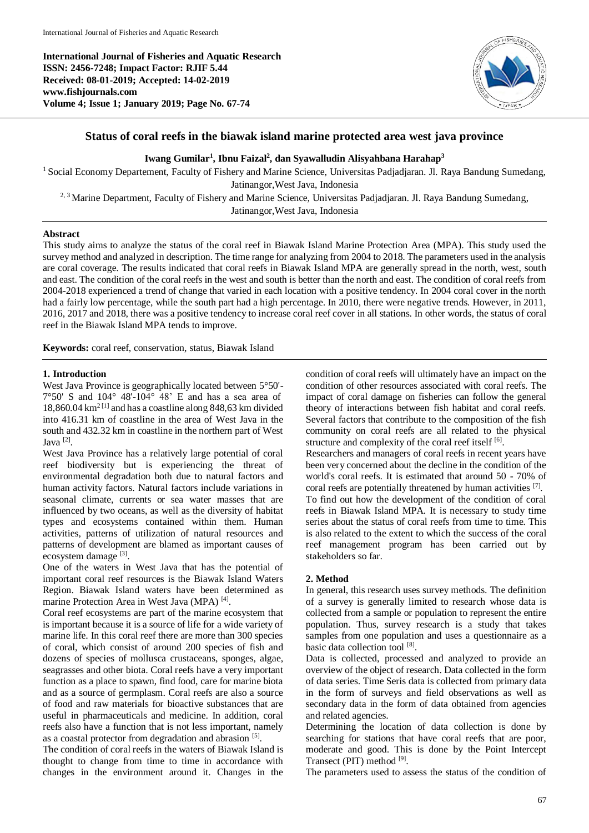**International Journal of Fisheries and Aquatic Research ISSN: 2456-7248; Impact Factor: RJIF 5.44 Received: 08-01-2019; Accepted: 14-02-2019 www.fishjournals.com Volume 4; Issue 1; January 2019; Page No. 67-74**



## **Status of coral reefs in the biawak island marine protected area west java province**

**Iwang Gumilar<sup>1</sup> , Ibnu Faizal<sup>2</sup> , dan Syawalludin Alisyahbana Harahap<sup>3</sup>**

<sup>1</sup> Social Economy Departement, Faculty of Fishery and Marine Science, Universitas Padjadjaran. Jl. Raya Bandung Sumedang, Jatinangor,West Java, Indonesia 2, 3 Marine Department, Faculty of Fishery and Marine Science, Universitas Padjadjaran. Jl. Raya Bandung Sumedang,

Jatinangor,West Java, Indonesia

### **Abstract**

This study aims to analyze the status of the coral reef in Biawak Island Marine Protection Area (MPA). This study used the survey method and analyzed in description. The time range for analyzing from 2004 to 2018. The parameters used in the analysis are coral coverage. The results indicated that coral reefs in Biawak Island MPA are generally spread in the north, west, south and east. The condition of the coral reefs in the west and south is better than the north and east. The condition of coral reefs from 2004-2018 experienced a trend of change that varied in each location with a positive tendency. In 2004 coral cover in the north had a fairly low percentage, while the south part had a high percentage. In 2010, there were negative trends. However, in 2011, 2016, 2017 and 2018, there was a positive tendency to increase coral reef cover in all stations. In other words, the status of coral reef in the Biawak Island MPA tends to improve.

**Keywords:** coral reef, conservation, status, Biawak Island

#### **1. Introduction**

West Java Province is geographically located between 5°50'-  $7^{\circ}50'$  S and  $104^{\circ}$  48'-104 $^{\circ}$  48' E and has a sea area of  $18,860.04 \text{ km}^{2}$ <sup>[1]</sup> and has a coastline along 848,63 km divided into 416.31 km of coastline in the area of West Java in the south and 432.32 km in coastline in the northern part of West Java [2] .

West Java Province has a relatively large potential of coral reef biodiversity but is experiencing the threat of environmental degradation both due to natural factors and human activity factors. Natural factors include variations in seasonal climate, currents or sea water masses that are influenced by two oceans, as well as the diversity of habitat types and ecosystems contained within them. Human activities, patterns of utilization of natural resources and patterns of development are blamed as important causes of ecosystem damage [3].

One of the waters in West Java that has the potential of important coral reef resources is the Biawak Island Waters Region. Biawak Island waters have been determined as marine Protection Area in West Java (MPA)<sup>[4]</sup>.

Coral reef ecosystems are part of the marine ecosystem that is important because it is a source of life for a wide variety of marine life. In this coral reef there are more than 300 species of coral, which consist of around 200 species of fish and dozens of species of mollusca crustaceans, sponges, algae, seagrasses and other biota. Coral reefs have a very important function as a place to spawn, find food, care for marine biota and as a source of germplasm. Coral reefs are also a source of food and raw materials for bioactive substances that are useful in pharmaceuticals and medicine. In addition, coral reefs also have a function that is not less important, namely as a coastal protector from degradation and abrasion [5].

The condition of coral reefs in the waters of Biawak Island is thought to change from time to time in accordance with changes in the environment around it. Changes in the

condition of coral reefs will ultimately have an impact on the condition of other resources associated with coral reefs. The impact of coral damage on fisheries can follow the general theory of interactions between fish habitat and coral reefs. Several factors that contribute to the composition of the fish community on coral reefs are all related to the physical structure and complexity of the coral reef itself [6].

Researchers and managers of coral reefs in recent years have been very concerned about the decline in the condition of the world's coral reefs. It is estimated that around 50 - 70% of coral reefs are potentially threatened by human activities [7]. To find out how the development of the condition of coral reefs in Biawak Island MPA. It is necessary to study time series about the status of coral reefs from time to time. This is also related to the extent to which the success of the coral reef management program has been carried out by stakeholders so far.

### **2. Method**

In general, this research uses survey methods. The definition of a survey is generally limited to research whose data is collected from a sample or population to represent the entire population. Thus, survey research is a study that takes samples from one population and uses a questionnaire as a basic data collection tool [8].

Data is collected, processed and analyzed to provide an overview of the object of research. Data collected in the form of data series. Time Seris data is collected from primary data in the form of surveys and field observations as well as secondary data in the form of data obtained from agencies and related agencies.

Determining the location of data collection is done by searching for stations that have coral reefs that are poor, moderate and good. This is done by the Point Intercept Transect (PIT) method [9].

The parameters used to assess the status of the condition of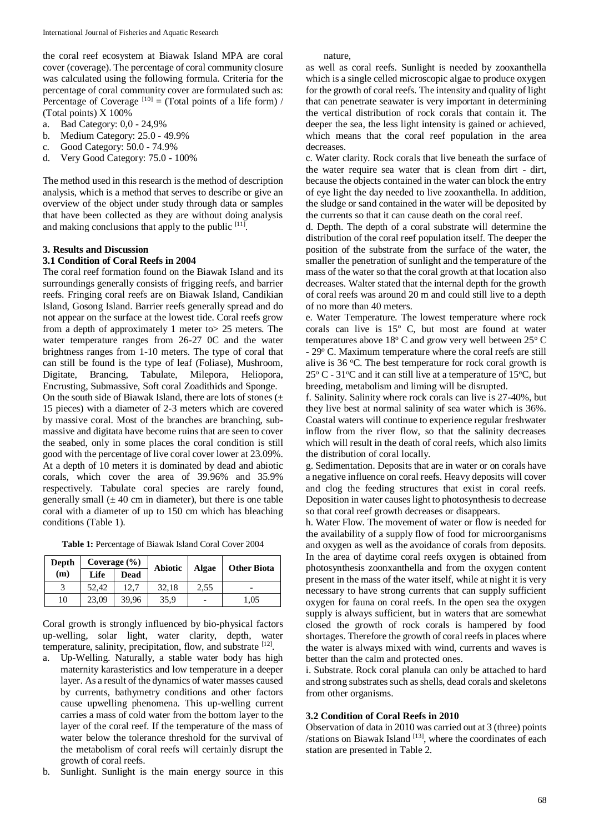the coral reef ecosystem at Biawak Island MPA are coral cover (coverage). The percentage of coral community closure was calculated using the following formula. Criteria for the percentage of coral community cover are formulated such as: Percentage of Coverage  $[10] = (Total points of a life form) /$ (Total points) X 100%

- a. Bad Category: 0,0 24,9%
- b. Medium Category: 25.0 49.9%
- c. Good Category: 50.0 74.9%
- d. Very Good Category: 75.0 100%

The method used in this research is the method of description analysis, which is a method that serves to describe or give an overview of the object under study through data or samples that have been collected as they are without doing analysis and making conclusions that apply to the public  $[11]$ .

#### **3. Results and Discussion**

#### **3.1 Condition of Coral Reefs in 2004**

The coral reef formation found on the Biawak Island and its surroundings generally consists of frigging reefs, and barrier reefs. Fringing coral reefs are on Biawak Island, Candikian Island, Gosong Island. Barrier reefs generally spread and do not appear on the surface at the lowest tide. Coral reefs grow from a depth of approximately 1 meter to> 25 meters. The water temperature ranges from 26-27 0C and the water brightness ranges from 1-10 meters. The type of coral that can still be found is the type of leaf (Foliase), Mushroom, Digitate, Brancing, Tabulate, Milepora, Heliopora, Encrusting, Submassive, Soft coral Zoadithids and Sponge.

On the south side of Biawak Island, there are lots of stones  $(±)$ 15 pieces) with a diameter of 2-3 meters which are covered by massive coral. Most of the branches are branching, submassive and digitata have become ruins that are seen to cover the seabed, only in some places the coral condition is still good with the percentage of live coral cover lower at 23.09%. At a depth of 10 meters it is dominated by dead and abiotic corals, which cover the area of 39.96% and 35.9% respectively. Tabulate coral species are rarely found, generally small  $(\pm 40 \text{ cm})$  in diameter), but there is one table coral with a diameter of up to 150 cm which has bleaching conditions (Table 1).

**Table 1:** Percentage of Biawak Island Coral Cover 2004

| Depth | Coverage $(\% )$ |       | <b>Abiotic</b> | Algae | <b>Other Biota</b> |  |
|-------|------------------|-------|----------------|-------|--------------------|--|
| (m)   | Life             | Dead  |                |       |                    |  |
|       | 52.42            | 12.7  | 32,18          | 2.55  |                    |  |
| 10    | 23.09            | 39.96 | 35,9           |       | 1,05               |  |

Coral growth is strongly influenced by bio-physical factors up-welling, solar light, water clarity, depth, water temperature, salinity, precipitation, flow, and substrate [12].

- a. Up-Welling. Naturally, a stable water body has high maternity karasteristics and low temperature in a deeper layer. As a result of the dynamics of water masses caused by currents, bathymetry conditions and other factors cause upwelling phenomena. This up-welling current carries a mass of cold water from the bottom layer to the layer of the coral reef. If the temperature of the mass of water below the tolerance threshold for the survival of the metabolism of coral reefs will certainly disrupt the growth of coral reefs.
- b. Sunlight. Sunlight is the main energy source in this

nature,

as well as coral reefs. Sunlight is needed by zooxanthella which is a single celled microscopic algae to produce oxygen for the growth of coral reefs. The intensity and quality of light that can penetrate seawater is very important in determining the vertical distribution of rock corals that contain it. The deeper the sea, the less light intensity is gained or achieved, which means that the coral reef population in the area decreases.

c. Water clarity. Rock corals that live beneath the surface of the water require sea water that is clean from dirt - dirt, because the objects contained in the water can block the entry of eye light the day needed to live zooxanthella. In addition, the sludge or sand contained in the water will be deposited by the currents so that it can cause death on the coral reef.

d. Depth. The depth of a coral substrate will determine the distribution of the coral reef population itself. The deeper the position of the substrate from the surface of the water, the smaller the penetration of sunlight and the temperature of the mass of the water so that the coral growth at that location also decreases. Walter stated that the internal depth for the growth of coral reefs was around 20 m and could still live to a depth of no more than 40 meters.

e. Water Temperature. The lowest temperature where rock corals can live is  $15^{\circ}$  C, but most are found at water temperatures above  $18^{\circ}$  C and grow very well between  $25^{\circ}$  C - 29° C. Maximum temperature where the coral reefs are still alive is  $36 \, \text{°C}$ . The best temperature for rock coral growth is  $25^{\circ}$  C - 31<sup>o</sup>C and it can still live at a temperature of 15<sup>o</sup>C, but breeding, metabolism and liming will be disrupted.

f. Salinity. Salinity where rock corals can live is 27-40%, but they live best at normal salinity of sea water which is 36%. Coastal waters will continue to experience regular freshwater inflow from the river flow, so that the salinity decreases which will result in the death of coral reefs, which also limits the distribution of coral locally.

g. Sedimentation. Deposits that are in water or on corals have a negative influence on coral reefs. Heavy deposits will cover and clog the feeding structures that exist in coral reefs. Deposition in water causes light to photosynthesis to decrease so that coral reef growth decreases or disappears.

h. Water Flow. The movement of water or flow is needed for the availability of a supply flow of food for microorganisms and oxygen as well as the avoidance of corals from deposits. In the area of daytime coral reefs oxygen is obtained from photosynthesis zoonxanthella and from the oxygen content present in the mass of the water itself, while at night it is very necessary to have strong currents that can supply sufficient oxygen for fauna on coral reefs. In the open sea the oxygen supply is always sufficient, but in waters that are somewhat closed the growth of rock corals is hampered by food shortages. Therefore the growth of coral reefs in places where the water is always mixed with wind, currents and waves is better than the calm and protected ones.

i. Substrate. Rock coral planula can only be attached to hard and strong substrates such as shells, dead corals and skeletons from other organisms.

#### **3.2 Condition of Coral Reefs in 2010**

Observation of data in 2010 was carried out at 3 (three) points /stations on Biawak Island  $[13]$ , where the coordinates of each station are presented in Table 2.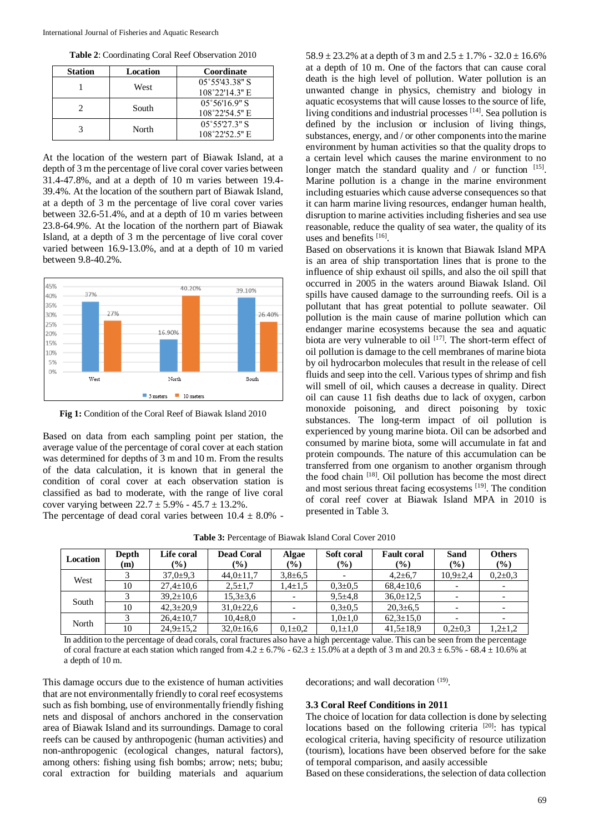**Table 2**: Coordinating Coral Reef Observation 2010

| <b>Station</b> | Location | Coordinate                                         |
|----------------|----------|----------------------------------------------------|
|                | West     | $05^{\circ}55'43.38"$ S<br>$108^{\circ}22'14.3"$ E |
|                | South    | $05^{\circ}56'16.9"$ S<br>$108^{\circ}22'54.5"$ E  |
|                | North    | $05^{\circ}55'27.3"$ S<br>108°22'52.5" E           |

At the location of the western part of Biawak Island, at a depth of 3 m the percentage of live coral cover varies between 31.4-47.8%, and at a depth of 10 m varies between 19.4- 39.4%. At the location of the southern part of Biawak Island, at a depth of 3 m the percentage of live coral cover varies between 32.6-51.4%, and at a depth of 10 m varies between 23.8-64.9%. At the location of the northern part of Biawak Island, at a depth of 3 m the percentage of live coral cover varied between 16.9-13.0%, and at a depth of 10 m varied between 9.8-40.2%.



**Fig 1:** Condition of the Coral Reef of Biawak Island 2010

Based on data from each sampling point per station, the average value of the percentage of coral cover at each station was determined for depths of 3 m and 10 m. From the results of the data calculation, it is known that in general the condition of coral cover at each observation station is classified as bad to moderate, with the range of live coral cover varying between  $22.7 \pm 5.9\%$  -  $45.7 \pm 13.2\%$ .

The percentage of dead coral varies between  $10.4 \pm 8.0\%$  -

58.9  $\pm$  23.2% at a depth of 3 m and 2.5  $\pm$  1.7% - 32.0  $\pm$  16.6% at a depth of 10 m. One of the factors that can cause coral death is the high level of pollution. Water pollution is an unwanted change in physics, chemistry and biology in aquatic ecosystems that will cause losses to the source of life, living conditions and industrial processes [14]. Sea pollution is defined by the inclusion or inclusion of living things, substances, energy, and / or other components into the marine environment by human activities so that the quality drops to a certain level which causes the marine environment to no longer match the standard quality and / or function [15]. Marine pollution is a change in the marine environment including estuaries which cause adverse consequences so that it can harm marine living resources, endanger human health, disruption to marine activities including fisheries and sea use reasonable, reduce the quality of sea water, the quality of its uses and benefits [16].

Based on observations it is known that Biawak Island MPA is an area of ship transportation lines that is prone to the influence of ship exhaust oil spills, and also the oil spill that occurred in 2005 in the waters around Biawak Island. Oil spills have caused damage to the surrounding reefs. Oil is a pollutant that has great potential to pollute seawater. Oil pollution is the main cause of marine pollution which can endanger marine ecosystems because the sea and aquatic biota are very vulnerable to oil [17]. The short-term effect of oil pollution is damage to the cell membranes of marine biota by oil hydrocarbon molecules that result in the release of cell fluids and seep into the cell. Various types of shrimp and fish will smell of oil, which causes a decrease in quality. Direct oil can cause 11 fish deaths due to lack of oxygen, carbon monoxide poisoning, and direct poisoning by toxic substances. The long-term impact of oil pollution is experienced by young marine biota. Oil can be adsorbed and consumed by marine biota, some will accumulate in fat and protein compounds. The nature of this accumulation can be transferred from one organism to another organism through the food chain [18]. Oil pollution has become the most direct and most serious threat facing ecosystems [19]. The condition of coral reef cover at Biawak Island MPA in 2010 is presented in Table 3.

| Location | Depth<br>(m) | Life coral<br>$(\%)$ | <b>Dead Coral</b><br>$(\%)$ | Algae<br>(%)  | Soft coral<br>$(\%)$ | <b>Fault coral</b><br>$\left( \frac{0}{0} \right)$ | <b>Sand</b><br>$(\%)$    | <b>Others</b><br>(%) |
|----------|--------------|----------------------|-----------------------------|---------------|----------------------|----------------------------------------------------|--------------------------|----------------------|
| West     |              | $37,0 \pm 9,3$       | $44.0 \pm 11.7$             | $3,8 \pm 6,5$ |                      | $4,2{\pm}6,7$                                      | $10,9{\pm}2,4$           | $0.2 \pm 0.3$        |
|          | 10           | $27,4 \pm 10,6$      | $2.5 \pm 1.7$               | $1.4 \pm 1.5$ | $0.3 \pm 0.5$        | $68,4 \pm 10,6$                                    | $\overline{\phantom{a}}$ |                      |
| South    |              | $39,2 \pm 10,6$      | $15.3 \pm 3.6$              |               | $9.5 \pm 4.8$        | $36,0 \pm 12.5$                                    | $\overline{\phantom{0}}$ |                      |
|          | 10           | $42.3 \pm 20.9$      | $31,0\pm 22,6$              |               | $0.3 \pm 0.5$        | $20.3 \pm 6.5$                                     | $\overline{\phantom{0}}$ |                      |
| North    |              | $26.4 \pm 10.7$      | $10,4{\pm}8,0$              |               | $1,0{\pm}1,0$        | $62,3 \pm 15,0$                                    | $\overline{\phantom{a}}$ |                      |
|          | 10           | $24.9 \pm 15.2$      | $32.0 \pm 16.6$             | $0.1 \pm 0.2$ | $0.1 \pm 1.0$        | $41,5 \pm 18.9$                                    | $0.2 \pm 0.3$            | $1,2{\pm}1,2$        |

**Table 3:** Percentage of Biawak Island Coral Cover 2010

In addition to the percentage of dead corals, coral fractures also have a high percentage value. This can be seen from the percentage of coral fracture at each station which ranged from  $4.2 \pm 6.7\%$  -  $62.3 \pm 15.0\%$  at a depth of 3 m and  $20.3 \pm 6.5\%$  -  $68.4 \pm 10.6\%$  at a depth of 10 m.

This damage occurs due to the existence of human activities that are not environmentally friendly to coral reef ecosystems such as fish bombing, use of environmentally friendly fishing nets and disposal of anchors anchored in the conservation area of Biawak Island and its surroundings. Damage to coral reefs can be caused by anthropogenic (human activities) and non-anthropogenic (ecological changes, natural factors), among others: fishing using fish bombs; arrow; nets; bubu; coral extraction for building materials and aquarium

decorations; and wall decoration <sup>(19)</sup>.

#### **3.3 Coral Reef Conditions in 2011**

The choice of location for data collection is done by selecting locations based on the following criteria  $[20]$ : has typical ecological criteria, having specificity of resource utilization (tourism), locations have been observed before for the sake of temporal comparison, and aasily accessible

Based on these considerations, the selection of data collection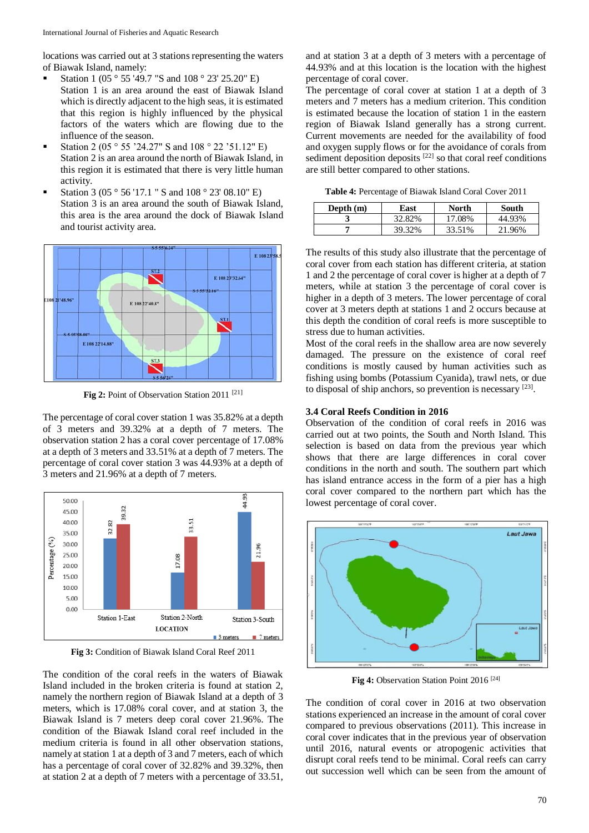locations was carried out at 3 stations representing the waters of Biawak Island, namely:

- Station 1 (05 ° 55 '49.7 "S and 108 ° 23' 25.20" E) Station 1 is an area around the east of Biawak Island which is directly adjacent to the high seas, it is estimated that this region is highly influenced by the physical factors of the waters which are flowing due to the influence of the season.
- Station 2 (05  $\degree$  55 '24.27" S and 108  $\degree$  22 '51.12" E) Station 2 is an area around the north of Biawak Island, in this region it is estimated that there is very little human activity.
- Station 3 (05 ° 56 '17.1 " S and 108 ° 23' 08.10" E) Station 3 is an area around the south of Biawak Island, this area is the area around the dock of Biawak Island and tourist activity area.



Fig 2: Point of Observation Station 2011<sup>[21]</sup>

The percentage of coral cover station 1 was 35.82% at a depth of 3 meters and 39.32% at a depth of 7 meters. The observation station 2 has a coral cover percentage of 17.08% at a depth of 3 meters and 33.51% at a depth of 7 meters. The percentage of coral cover station 3 was 44.93% at a depth of 3 meters and 21.96% at a depth of 7 meters.



**Fig 3:** Condition of Biawak Island Coral Reef 2011

The condition of the coral reefs in the waters of Biawak Island included in the broken criteria is found at station 2, namely the northern region of Biawak Island at a depth of 3 meters, which is 17.08% coral cover, and at station 3, the Biawak Island is 7 meters deep coral cover 21.96%. The condition of the Biawak Island coral reef included in the medium criteria is found in all other observation stations, namely at station 1 at a depth of 3 and 7 meters, each of which has a percentage of coral cover of 32.82% and 39.32%, then at station 2 at a depth of 7 meters with a percentage of 33.51,

and at station 3 at a depth of 3 meters with a percentage of 44.93% and at this location is the location with the highest percentage of coral cover.

The percentage of coral cover at station 1 at a depth of 3 meters and 7 meters has a medium criterion. This condition is estimated because the location of station 1 in the eastern region of Biawak Island generally has a strong current. Current movements are needed for the availability of food and oxygen supply flows or for the avoidance of corals from sediment deposition deposits  $[22]$  so that coral reef conditions are still better compared to other stations.

**Table 4:** Percentage of Biawak Island Coral Cover 2011

| Depth $(m)$ | East   | North  | South  |  |
|-------------|--------|--------|--------|--|
| - 1         | 32.82% | 17.08% | 44.93% |  |
|             | 39.32% | 33.51% | 21.96% |  |

The results of this study also illustrate that the percentage of coral cover from each station has different criteria, at station 1 and 2 the percentage of coral cover is higher at a depth of 7 meters, while at station 3 the percentage of coral cover is higher in a depth of 3 meters. The lower percentage of coral cover at 3 meters depth at stations 1 and 2 occurs because at this depth the condition of coral reefs is more susceptible to stress due to human activities.

Most of the coral reefs in the shallow area are now severely damaged. The pressure on the existence of coral reef conditions is mostly caused by human activities such as fishing using bombs (Potassium Cyanida), trawl nets, or due to disposal of ship anchors, so prevention is necessary [23].

## **3.4 Coral Reefs Condition in 2016**

Observation of the condition of coral reefs in 2016 was carried out at two points, the South and North Island. This selection is based on data from the previous year which shows that there are large differences in coral cover conditions in the north and south. The southern part which has island entrance access in the form of a pier has a high coral cover compared to the northern part which has the lowest percentage of coral cover.



**Fig 4:** Observation Station Point 2016 [24]

The condition of coral cover in 2016 at two observation stations experienced an increase in the amount of coral cover compared to previous observations (2011). This increase in coral cover indicates that in the previous year of observation until 2016, natural events or atropogenic activities that disrupt coral reefs tend to be minimal. Coral reefs can carry out succession well which can be seen from the amount of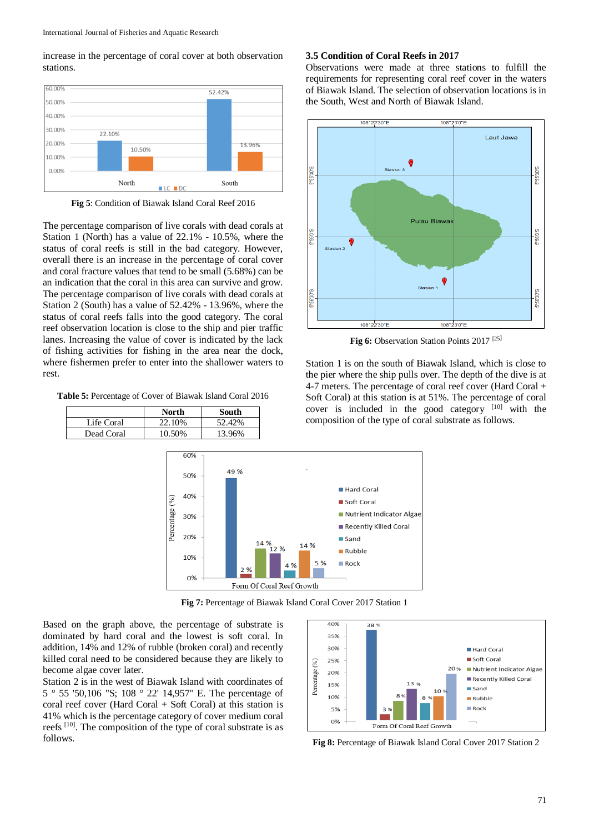increase in the percentage of coral cover at both observation stations.



**Fig 5**: Condition of Biawak Island Coral Reef 2016

The percentage comparison of live corals with dead corals at Station 1 (North) has a value of 22.1% - 10.5%, where the status of coral reefs is still in the bad category. However, overall there is an increase in the percentage of coral cover and coral fracture values that tend to be small (5.68%) can be an indication that the coral in this area can survive and grow. The percentage comparison of live corals with dead corals at Station 2 (South) has a value of 52.42% - 13.96%, where the status of coral reefs falls into the good category. The coral reef observation location is close to the ship and pier traffic lanes. Increasing the value of cover is indicated by the lack of fishing activities for fishing in the area near the dock, where fishermen prefer to enter into the shallower waters to rest.

**Table 5:** Percentage of Cover of Biawak Island Coral 2016

|            | North  | South  |
|------------|--------|--------|
| Life Coral | 22.10% | 52.42% |
| Dead Coral | 10.50% | 13.96% |

## **3.5 Condition of Coral Reefs in 2017**

Observations were made at three stations to fulfill the requirements for representing coral reef cover in the waters of Biawak Island. The selection of observation locations is in the South, West and North of Biawak Island.



**Fig 6:** Observation Station Points 2017 [25]

Station 1 is on the south of Biawak Island, which is close to the pier where the ship pulls over. The depth of the dive is at 4-7 meters. The percentage of coral reef cover (Hard Coral + Soft Coral) at this station is at 51%. The percentage of coral cover is included in the good category [10] with the composition of the type of coral substrate as follows.



**Fig 7:** Percentage of Biawak Island Coral Cover 2017 Station 1

Based on the graph above, the percentage of substrate is dominated by hard coral and the lowest is soft coral. In addition, 14% and 12% of rubble (broken coral) and recently killed coral need to be considered because they are likely to become algae cover later.

Station 2 is in the west of Biawak Island with coordinates of 5 ° 55 '50,106 "S; 108 ° 22' 14,957" E. The percentage of coral reef cover (Hard Coral  $+$  Soft Coral) at this station is 41% which is the percentage category of cover medium coral reefs [10]. The composition of the type of coral substrate is as follows. **Fig 8:** Percentage of Biawak Island Coral Cover 2017 Station 2

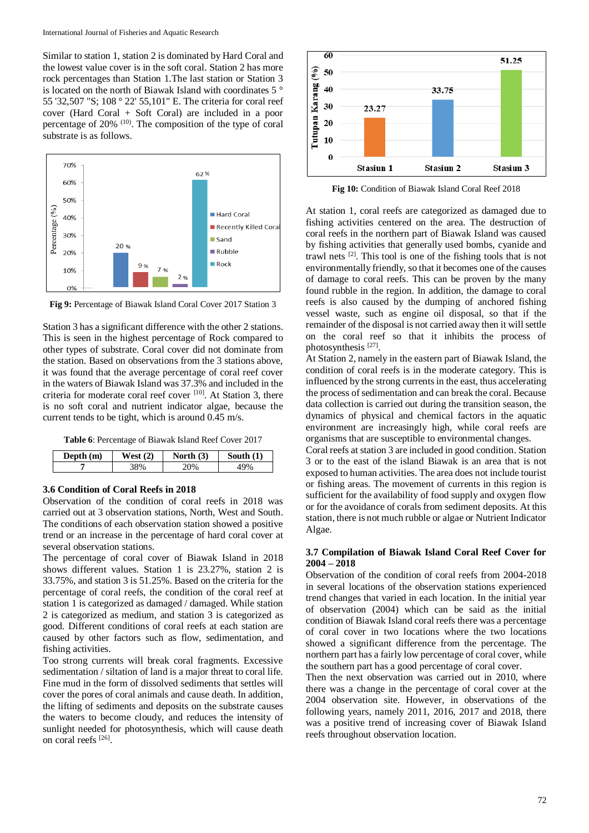Similar to station 1, station 2 is dominated by Hard Coral and the lowest value cover is in the soft coral. Station 2 has more rock percentages than Station 1.The last station or Station 3 is located on the north of Biawak Island with coordinates 5 ° 55 '32,507 "S; 108 ° 22' 55,101" E. The criteria for coral reef cover (Hard Coral + Soft Coral) are included in a poor percentage of 20% (10). The composition of the type of coral substrate is as follows.



**Fig 9:** Percentage of Biawak Island Coral Cover 2017 Station 3

Station 3 has a significant difference with the other 2 stations. This is seen in the highest percentage of Rock compared to other types of substrate. Coral cover did not dominate from the station. Based on observations from the 3 stations above, it was found that the average percentage of coral reef cover in the waters of Biawak Island was 37.3% and included in the criteria for moderate coral reef cover [10]. At Station 3, there is no soft coral and nutrient indicator algae, because the current tends to be tight, which is around 0.45 m/s.

**Table 6**: Percentage of Biawak Island Reef Cover 2017

| Depth $(m)$ | (2)<br>√est | North $(3)$ | South $(1)$ |
|-------------|-------------|-------------|-------------|
|             |             | ገ‰          |             |

## **3.6 Condition of Coral Reefs in 2018**

Observation of the condition of coral reefs in 2018 was carried out at 3 observation stations, North, West and South. The conditions of each observation station showed a positive trend or an increase in the percentage of hard coral cover at several observation stations.

The percentage of coral cover of Biawak Island in 2018 shows different values. Station 1 is 23.27%, station 2 is 33.75%, and station 3 is 51.25%. Based on the criteria for the percentage of coral reefs, the condition of the coral reef at station 1 is categorized as damaged / damaged. While station 2 is categorized as medium, and station 3 is categorized as good. Different conditions of coral reefs at each station are caused by other factors such as flow, sedimentation, and fishing activities.

Too strong currents will break coral fragments. Excessive sedimentation / siltation of land is a major threat to coral life. Fine mud in the form of dissolved sediments that settles will cover the pores of coral animals and cause death. In addition, the lifting of sediments and deposits on the substrate causes the waters to become cloudy, and reduces the intensity of sunlight needed for photosynthesis, which will cause death on coral reefs [26] .



**Fig 10:** Condition of Biawak Island Coral Reef 2018

At station 1, coral reefs are categorized as damaged due to fishing activities centered on the area. The destruction of coral reefs in the northern part of Biawak Island was caused by fishing activities that generally used bombs, cyanide and trawl nets [2]. This tool is one of the fishing tools that is not environmentally friendly, so that it becomes one of the causes of damage to coral reefs. This can be proven by the many found rubble in the region. In addition, the damage to coral reefs is also caused by the dumping of anchored fishing vessel waste, such as engine oil disposal, so that if the remainder of the disposal is not carried away then it will settle on the coral reef so that it inhibits the process of photosynthesis<sup>[27]</sup>.

At Station 2, namely in the eastern part of Biawak Island, the condition of coral reefs is in the moderate category. This is influenced by the strong currents in the east, thus accelerating the process of sedimentation and can break the coral. Because data collection is carried out during the transition season, the dynamics of physical and chemical factors in the aquatic environment are increasingly high, while coral reefs are organisms that are susceptible to environmental changes.

Coral reefs at station 3 are included in good condition. Station 3 or to the east of the island Biawak is an area that is not exposed to human activities. The area does not include tourist or fishing areas. The movement of currents in this region is sufficient for the availability of food supply and oxygen flow or for the avoidance of corals from sediment deposits. At this station, there is not much rubble or algae or Nutrient Indicator Algae.

### **3.7 Compilation of Biawak Island Coral Reef Cover for 2004 – 2018**

Observation of the condition of coral reefs from 2004-2018 in several locations of the observation stations experienced trend changes that varied in each location. In the initial year of observation (2004) which can be said as the initial condition of Biawak Island coral reefs there was a percentage of coral cover in two locations where the two locations showed a significant difference from the percentage. The northern part has a fairly low percentage of coral cover, while the southern part has a good percentage of coral cover.

Then the next observation was carried out in 2010, where there was a change in the percentage of coral cover at the 2004 observation site. However, in observations of the following years, namely 2011, 2016, 2017 and 2018, there was a positive trend of increasing cover of Biawak Island reefs throughout observation location.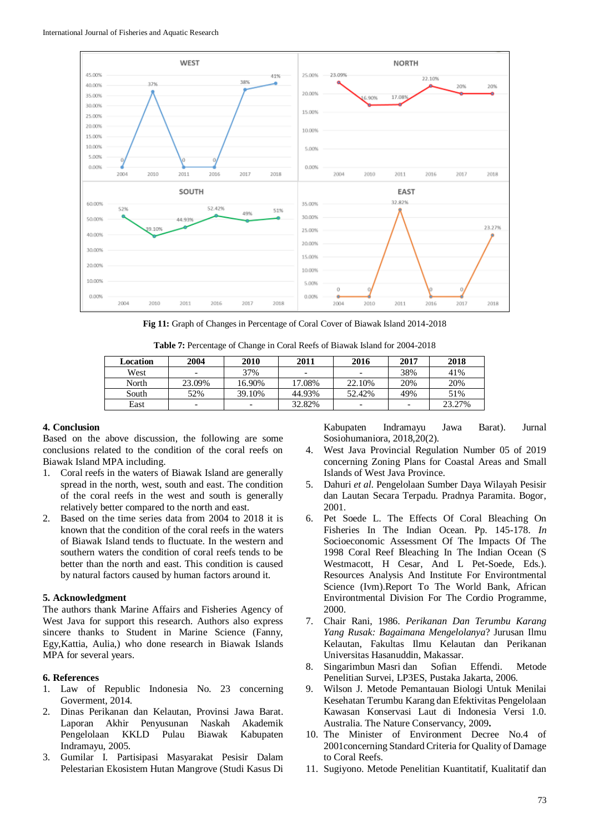

**Fig 11:** Graph of Changes in Percentage of Coral Cover of Biawak Island 2014-2018

| Location | 2004                     | 2010                     | 2011   | 2016                     | 2017                     | 2018   |
|----------|--------------------------|--------------------------|--------|--------------------------|--------------------------|--------|
| West     |                          | 37%                      | -      |                          | 38%                      | 41%    |
| North    | 23.09%                   | 16.90%                   | 17.08% | 22.10%                   | 20%                      | 20%    |
| South    | 52%                      | 39.10%                   | 44.93% | 52.42%                   | 49%                      | 51%    |
| East     | $\overline{\phantom{0}}$ | $\overline{\phantom{a}}$ | 32.82% | $\overline{\phantom{0}}$ | $\overline{\phantom{0}}$ | 23.27% |

**Table 7:** Percentage of Change in Coral Reefs of Biawak Island for 2004-2018

## **4. Conclusion**

Based on the above discussion, the following are some conclusions related to the condition of the coral reefs on Biawak Island MPA including.

- 1. Coral reefs in the waters of Biawak Island are generally spread in the north, west, south and east. The condition of the coral reefs in the west and south is generally relatively better compared to the north and east.
- 2. Based on the time series data from 2004 to 2018 it is known that the condition of the coral reefs in the waters of Biawak Island tends to fluctuate. In the western and southern waters the condition of coral reefs tends to be better than the north and east. This condition is caused by natural factors caused by human factors around it.

### **5. Acknowledgment**

The authors thank Marine Affairs and Fisheries Agency of West Java for support this research. Authors also express sincere thanks to Student in Marine Science (Fanny, Egy,Kattia, Aulia,) who done research in Biawak Islands MPA for several years.

# **6. References**

- 1. Law of Republic Indonesia No. 23 concerning Goverment, 2014.
- 2. Dinas Perikanan dan Kelautan, Provinsi Jawa Barat. Laporan Akhir Penyusunan Naskah Akademik Pengelolaan KKLD Pulau Biawak Kabupaten Indramayu, 2005.
- 3. Gumilar I*.* Partisipasi Masyarakat Pesisir Dalam Pelestarian Ekosistem Hutan Mangrove (Studi Kasus Di

Kabupaten Indramayu Jawa Barat). Jurnal Sosiohumaniora, 2018,20(2).

- 4. West Java Provincial Regulation Number 05 of 2019 concerning Zoning Plans for Coastal Areas and Small Islands of West Java Province.
- 5. Dahuri *et al*. Pengelolaan Sumber Daya Wilayah Pesisir dan Lautan Secara Terpadu. Pradnya Paramita. Bogor, 2001.
- 6. Pet Soede L. The Effects Of Coral Bleaching On Fisheries In The Indian Ocean. Pp. 145-178. *In* Socioeconomic Assessment Of The Impacts Of The 1998 Coral Reef Bleaching In The Indian Ocean (S Westmacott, H Cesar, And L Pet-Soede, Eds.). Resources Analysis And Institute For Environtmental Science (Ivm).Report To The World Bank, African Environtmental Division For The Cordio Programme, 2000.
- 7. Chair Rani, 1986. *Perikanan Dan Terumbu Karang Yang Rusak: Bagaimana Mengelolanya*? Jurusan Ilmu Kelautan, Fakultas Ilmu Kelautan dan Perikanan Universitas Hasanuddin, Makassar.
- 8. Singarimbun Masri dan Sofian Effendi. Metode Penelitian Survei, LP3ES, Pustaka Jakarta, 2006.
- 9. Wilson J. Metode Pemantauan Biologi Untuk Menilai Kesehatan Terumbu Karang dan Efektivitas Pengelolaan Kawasan Konservasi Laut di Indonesia Versi 1.0. Australia. The Nature Conservancy, 2009**.**
- 10. The Minister of Environment Decree No.4 of 2001concerning Standard Criteria for Quality of Damage to Coral Reefs.
- 11. Sugiyono. Metode Penelitian Kuantitatif, Kualitatif dan